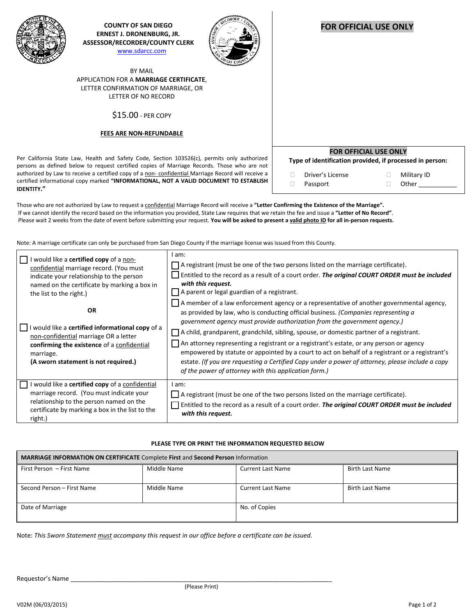

**COUNTY OF SAN DIEGO ERNEST J. DRONENBURG, JR. ASSESSOR/RECORDER/COUNTY CLERK** [www.sdarcc.com](http://www.sdarcc.com/)



BY MAIL APPLICATION FOR A **MARRIAGE CERTIFICATE**, LETTER CONFIRMATION OF MARRIAGE, OR LETTER OF NO RECORD

\$15.00 - PER COPY

## **FEES ARE NON-REFUNDABLE**

Per California State Law, Health and Safety Code, Section 103526(c), permits only authorized persons as defined below to request certified copies of Marriage Records. Those who are not authorized by Law to receive a certified copy of a non-confidential Marriage Record will receive a certified informational copy marked **"INFORMATIONAL, NOT A VALID DOCUMENT TO ESTABLISH IDENTITY."**

| <b>FOR OFFICIAL USE ONLY</b><br>Type of identification provided, if processed in person: |                              |  |                      |  |  |  |
|------------------------------------------------------------------------------------------|------------------------------|--|----------------------|--|--|--|
|                                                                                          | Driver's License<br>Passport |  | Military ID<br>Other |  |  |  |

Those who are not authorized by Law to request a confidential Marriage Record will receive a **"Letter Confirming the Existence of the Marriage".** If we cannot identify the record based on the information you provided, State Law requires that we retain the fee and issue a **"Letter of No Record"**. Please wait 2 weeks from the date of event before submitting your request. **You will be asked to present a valid photo ID for all in-person requests.**

Note: A marriage certificate can only be purchased from San Diego County if the marriage license was issued from this County.

| would like a <b>certified copy</b> of a non-<br>confidential marriage record. (You must<br>indicate your relationship to the person<br>named on the certificate by marking a box in<br>the list to the right.) | l am:<br>$\Box$ A registrant (must be one of the two persons listed on the marriage certificate).<br>Entitled to the record as a result of a court order. The original COURT ORDER must be included<br>with this request.<br>$\Box$ A parent or legal guardian of a registrant.                                                                                                                                                                                                                                                                                                                                                                                                                                          |
|----------------------------------------------------------------------------------------------------------------------------------------------------------------------------------------------------------------|--------------------------------------------------------------------------------------------------------------------------------------------------------------------------------------------------------------------------------------------------------------------------------------------------------------------------------------------------------------------------------------------------------------------------------------------------------------------------------------------------------------------------------------------------------------------------------------------------------------------------------------------------------------------------------------------------------------------------|
| OR<br>    I would like a <b>certified informational copy</b> of a<br>non-confidential marriage OR a letter<br>confirming the existence of a confidential<br>marriage.<br>(A sworn statement is not required.)  | $\Box$ A member of a law enforcement agency or a representative of another governmental agency,<br>as provided by law, who is conducting official business. (Companies representing a<br>government agency must provide authorization from the government agency.)<br>A child, grandparent, grandchild, sibling, spouse, or domestic partner of a registrant.<br>An attorney representing a registrant or a registrant's estate, or any person or agency<br>empowered by statute or appointed by a court to act on behalf of a registrant or a registrant's<br>estate. (If you are requesting a Certified Copy under a power of attorney, please include a copy<br>of the power of attorney with this application form.) |
| would like a <b>certified copy</b> of a confidential<br>marriage record. (You must indicate your<br>relationship to the person named on the<br>certificate by marking a box in the list to the<br>right.)      | am:<br>A registrant (must be one of the two persons listed on the marriage certificate).<br>Entitled to the record as a result of a court order. The original COURT ORDER must be included<br>with this request.                                                                                                                                                                                                                                                                                                                                                                                                                                                                                                         |

## **PLEASE TYPE OR PRINT THE INFORMATION REQUESTED BELOW**

| MARRIAGE INFORMATION ON CERTIFICATE Complete First and Second Person Information |             |                          |                        |  |  |  |  |
|----------------------------------------------------------------------------------|-------------|--------------------------|------------------------|--|--|--|--|
| First Person - First Name                                                        | Middle Name | <b>Current Last Name</b> | <b>Birth Last Name</b> |  |  |  |  |
| Second Person - First Name                                                       | Middle Name | Current Last Name        | <b>Birth Last Name</b> |  |  |  |  |
| Date of Marriage                                                                 |             | No. of Copies            |                        |  |  |  |  |

Note: *This Sworn Statement must accompany this request in our office before a certificate can be issued.*

## **FOR OFFICIAL USE ONLY**